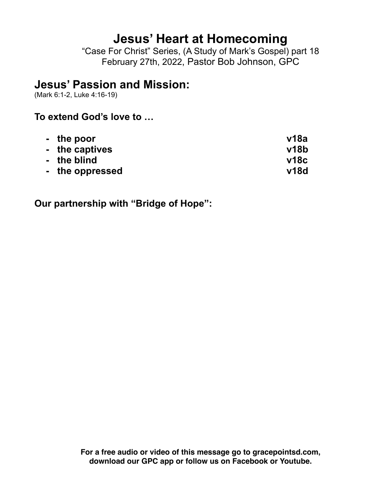# **Jesus' Heart at Homecoming**

"Case For Christ" Series, (A Study of Mark's Gospel) part 18 February 27th, 2022, Pastor Bob Johnson, GPC

## **Jesus' Passion and Mission:**

(Mark 6:1-2, Luke 4:16-19)

#### **To extend God's love to …**

| - the poor      | v18a |
|-----------------|------|
| - the captives  | v18b |
| - the blind     | v18c |
| - the oppressed | v18d |

**Our partnership with "Bridge of Hope":**

**For a free audio or video of this message go to gracepointsd.com, download our GPC app or follow us on Facebook or Youtube.**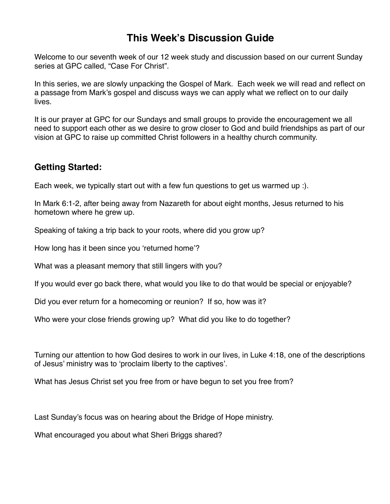### **This Week's Discussion Guide**

Welcome to our seventh week of our 12 week study and discussion based on our current Sunday series at GPC called, "Case For Christ".

In this series, we are slowly unpacking the Gospel of Mark. Each week we will read and reflect on a passage from Mark's gospel and discuss ways we can apply what we reflect on to our daily lives.

It is our prayer at GPC for our Sundays and small groups to provide the encouragement we all need to support each other as we desire to grow closer to God and build friendships as part of our vision at GPC to raise up committed Christ followers in a healthy church community.

#### **Getting Started:**

Each week, we typically start out with a few fun questions to get us warmed up :).

In Mark 6:1-2, after being away from Nazareth for about eight months, Jesus returned to his hometown where he grew up.

Speaking of taking a trip back to your roots, where did you grow up?

How long has it been since you 'returned home'?

What was a pleasant memory that still lingers with you?

If you would ever go back there, what would you like to do that would be special or enjoyable?

Did you ever return for a homecoming or reunion? If so, how was it?

Who were your close friends growing up? What did you like to do together?

Turning our attention to how God desires to work in our lives, in Luke 4:18, one of the descriptions of Jesus' ministry was to 'proclaim liberty to the captives'.

What has Jesus Christ set you free from or have begun to set you free from?

Last Sunday's focus was on hearing about the Bridge of Hope ministry.

What encouraged you about what Sheri Briggs shared?